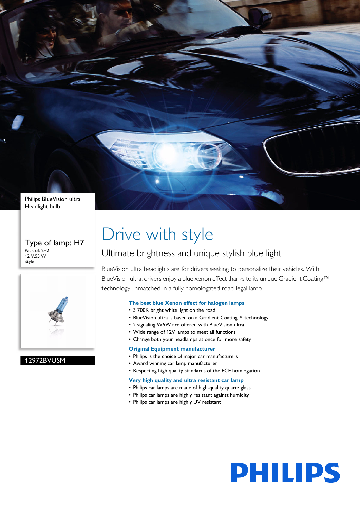Philips BlueVision ultra Headlight bulb

#### Type of lamp: H7 Pack of: 2+2 12 V,55 W Style



#### 12972BVUSM

# Drive with style

## Ultimate brightness and unique stylish blue light

BlueVision ultra headlights are for drivers seeking to personalize their vehicles. With BlueVision ultra, drivers enjoy a blue xenon effect thanks to its unique Gradient Coating™ technology,unmatched in a fully homologated road-legal lamp.

#### **The best blue Xenon effect for halogen lamps**

- 3 700K bright white light on the road
- BlueVision ultra is based on a Gradient Coating™ technology
- 2 signaling W5W are offered with BlueVision ultra
- Wide range of 12V lamps to meet all functions
- Change both your headlamps at once for more safety

#### **Original Equipment manufacturer**

- Philips is the choice of major car manufacturers
- Award winning car lamp manufacturer
- Respecting high quality standards of the ECE homlogation

#### **Very high quality and ultra resistant car lamp**

- Philips car lamps are made of high-quality quartz glass
- Philips car lamps are highly resistant against humidity
- Philips car lamps are highly UV resistant

# **PHILIPS**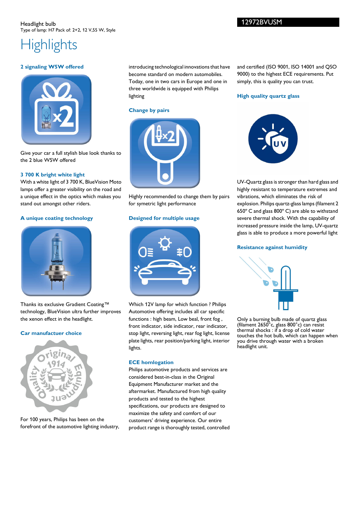## Highlights

#### **2 signaling W5W offered**



Give your car a full stylish blue look thanks to the 2 blue W5W offered

#### **3 700 K bright white light**

With a white light of 3 700 K, BlueVision Moto lamps offer a greater visibility on the road and a unique effect in the optics which makes you stand out amongst other riders.

#### **A unique coating technology**



Thanks its exclusive Gradient Coating™ technology, BlueVision ultra further improves the xenon effect in the headlight.

#### **Car manufactuer choice**



For 100 years, Philips has been on the forefront of the automotive lighting industry, introducing technological innovations that have become standard on modern automobiles. Today, one in two cars in Europe and one in three worldwide is equipped with Philips lighting

#### **Change by pairs**



Highly recommended to change them by pairs for symetric light performance

#### **Designed for multiple usage**



Which 12V lamp for which function ? Philips Automotive offering includes all car specific functions : high beam, Low beal, front fog , front indicator, side indicator, rear indicator, stop light, reversing light, rear fog light, license plate lights, rear position/parking light, interior lights.

#### **ECE homlogation**

Philips automotive products and services are considered best-in-class in the Original Equipment Manufacturer market and the aftermarket. Manufactured from high quality products and tested to the highest specifications, our products are designed to maximize the safety and comfort of our customers' driving experience. Our entire product range is thoroughly tested, controlled and certified (ISO 9001, ISO 14001 and QSO 9000) to the highest ECE requirements. Put simply, this is quality you can trust.

#### **High quality quartz glass**



UV-Quartz glass is stronger than hard glass and highly resistant to temperature extremes and vibrations, which eliminates the risk of explosion. Philips quartz-glass lamps (filament 2 650º C and glass 800º C) are able to withstand severe thermal shock. With the capability of increased pressure inside the lamp, UV-quartz glass is able to produce a more powerful light

#### **Resistance against humidity**



Only a burning bulb made of quartz glass (filament 2650°c, glass 800°c) can resist thermal shocks : if a drop of cold water touches the hot bulb, which can happen when you drive through water with a broken headlight unit.